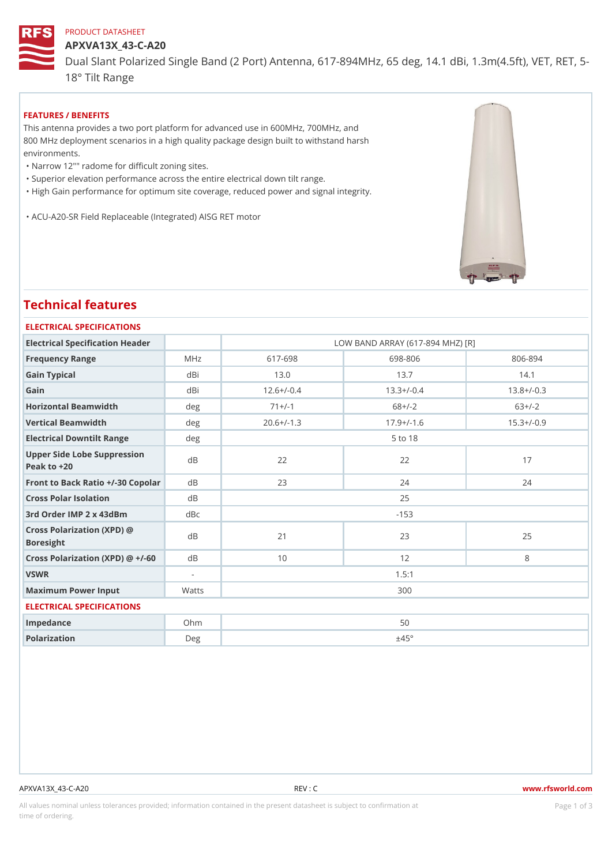#### PRODUCT DATASHEET

APXVA13X\_43-C-A20

Dual Slant Polarized Single Band (2 Port) Antenna, 617-894MHz, 65 de 18° Tilt Range

FEATURES / BENEFITS

This antenna provides a two port platform for advanced use in 600MHz, 700MHz, and 800 MHz deployment scenarios in a high quality package design built to withstand harsh environments.

"Narrow 12"" radome for difficult zoning sites.

"Superior elevation performance across the entire electrical down tilt range.

"High Gain performance for optimum site coverage, reduced power and signal integrity.

"ACU-A20-SR Field Replaceable (Integrated) AISG RET motor

# Technical features

#### ELECTRICAL SPECIFICATIONS

| Electrical Specification Header                       |        | LOW BAND ARRAY (617-894 MHZ) [R] |              |                |  |  |
|-------------------------------------------------------|--------|----------------------------------|--------------|----------------|--|--|
| Frequency Range                                       | MHz    | $617 - 698$                      | 698-806      | 806-894        |  |  |
| Gain Typical                                          | dBi    | 13.0                             | 13.7         | 14.1           |  |  |
| Gain                                                  | dBi    | $12.6+/-0.4$                     | $13.3+/-0.4$ | $13.8+/-0.3$   |  |  |
| Horizontal Beamwidth                                  | deg    | $71+/-1$                         | $68+/-2$     | $63+/-2$       |  |  |
| Vertical Beamwidth                                    | deg    | $20.6+/-1.3$                     | $17.9+/-1.6$ | $15.3 + (-0.9$ |  |  |
| Electrical Downtilt Range                             | deg    |                                  | 5 to 18      |                |  |  |
| Upper Side Lobe Suppression<br>Peak to $+20$          |        | 22                               | 22           | 17             |  |  |
| Front to Back Ratio +/-30 CdBolar                     |        | 23                               | 24           | 24             |  |  |
| Cross Polar Isolation                                 | d B    |                                  | 25           |                |  |  |
| 3rd Order IMP 2 x 43dBm                               | dBc    |                                  | $-153$       |                |  |  |
| Cross Polarization $(XPD)$ @ $dB$<br><b>Boresight</b> |        | 21                               | 23           | 25             |  |  |
| Cross Polarization (XPD) @ d+B'-60                    |        | 10                               | 12           | 8              |  |  |
| VSWR                                                  |        | 1.5:1                            |              |                |  |  |
| Maximum Power Input                                   | Watts  |                                  | 300          |                |  |  |
| ELECTRICAL SPECIFICATIONS                             |        |                                  |              |                |  |  |
| Impedance                                             | $Oh$ m |                                  | 50           |                |  |  |
| Polarization                                          | D e g  |                                  | ±45°         |                |  |  |
|                                                       |        |                                  |              |                |  |  |

#### APXVA13X\_43-C-A20 REV : C www.rfsworld.com

All values nominal unless tolerances provided; information contained in the present datasheet is subject to PcaogneionIm atio time of ordering.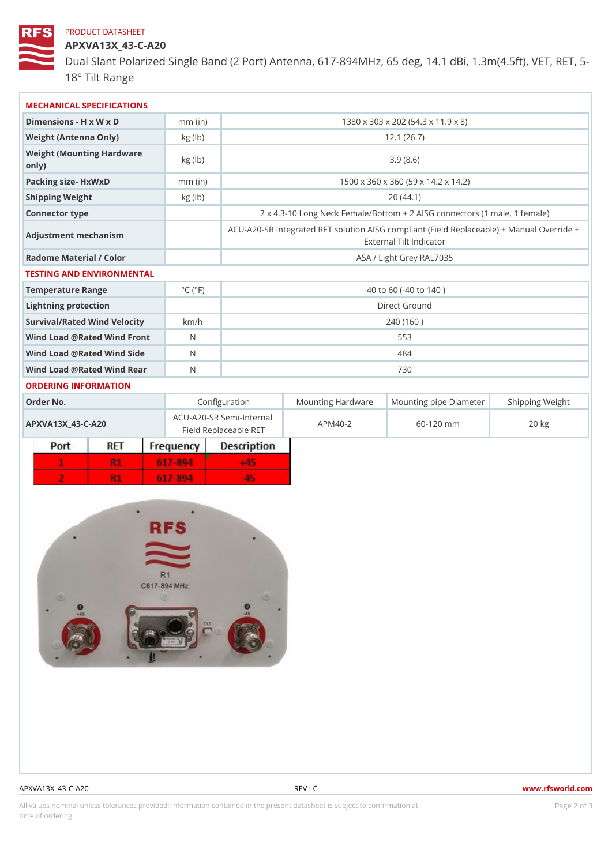# PRODUCT DATASHEET

APXVA13X\_43-C-A20 Dual Slant Polarized Single Band (2 Port) Antenna, 617-894MHz, 65 de

18° Tilt Range

| MECHANICAL SPECIFICATIONS<br>1380 x 303 x 202 (54.3 x 11.9 x 8)<br>Dimensions - H x W x D<br>$mm$ (in)<br>Weight (Antenna Only)<br>12.1(26.7)<br>kg (lb)<br>Weight (Mounting Hardware kg (lb)<br>3.9(8.6)<br>0nly)<br>Packing size- HxWxD<br>1500 x 360 x 360 (59 x 14.2 x 14.2)<br>$mm$ (in)<br>20(44.1)<br>Shipping Weight<br>kg (lb)<br>Connector type<br>Adjustment mechanism<br>External Tilt Indicator<br>Radome Material / Color<br>ASA / Light Grey RAL7035<br>TESTING AND ENVIRONMENTAL<br>$^{\circ}$ C ( $^{\circ}$ F<br>Temperature Range<br>$-40$ to 60 ( $-40$ to 140)<br>Direct Ground<br>Lightning protection<br>Survival/Rated Wind Velocikm/h<br>240 (160)<br>Wind Load @ Rated Wind Front<br>553<br>Wind Load @ Rated Wind Sidd<br>484<br>Wind Load @ Rated Wind ReaN<br>730<br>ORDERING INFORMATION<br>Order No.<br>Configuration<br>ACU-A20-SR Semi-Internal<br>APM40-2<br>60-120 mm<br>APXVA13X 43-C-A20<br>$20$ kg<br>Field Replaceable RET |  |  |  |  |  |  |  |
|-------------------------------------------------------------------------------------------------------------------------------------------------------------------------------------------------------------------------------------------------------------------------------------------------------------------------------------------------------------------------------------------------------------------------------------------------------------------------------------------------------------------------------------------------------------------------------------------------------------------------------------------------------------------------------------------------------------------------------------------------------------------------------------------------------------------------------------------------------------------------------------------------------------------------------------------------------------------|--|--|--|--|--|--|--|
|                                                                                                                                                                                                                                                                                                                                                                                                                                                                                                                                                                                                                                                                                                                                                                                                                                                                                                                                                                   |  |  |  |  |  |  |  |
|                                                                                                                                                                                                                                                                                                                                                                                                                                                                                                                                                                                                                                                                                                                                                                                                                                                                                                                                                                   |  |  |  |  |  |  |  |
| 2 x 4.3-10 Long Neck Female/Bottom + 2 AISG connectors (<br>ACU-A20-SR Integrated RET solution AISG compliant (Field Repla                                                                                                                                                                                                                                                                                                                                                                                                                                                                                                                                                                                                                                                                                                                                                                                                                                        |  |  |  |  |  |  |  |
|                                                                                                                                                                                                                                                                                                                                                                                                                                                                                                                                                                                                                                                                                                                                                                                                                                                                                                                                                                   |  |  |  |  |  |  |  |
|                                                                                                                                                                                                                                                                                                                                                                                                                                                                                                                                                                                                                                                                                                                                                                                                                                                                                                                                                                   |  |  |  |  |  |  |  |
|                                                                                                                                                                                                                                                                                                                                                                                                                                                                                                                                                                                                                                                                                                                                                                                                                                                                                                                                                                   |  |  |  |  |  |  |  |
|                                                                                                                                                                                                                                                                                                                                                                                                                                                                                                                                                                                                                                                                                                                                                                                                                                                                                                                                                                   |  |  |  |  |  |  |  |
|                                                                                                                                                                                                                                                                                                                                                                                                                                                                                                                                                                                                                                                                                                                                                                                                                                                                                                                                                                   |  |  |  |  |  |  |  |
|                                                                                                                                                                                                                                                                                                                                                                                                                                                                                                                                                                                                                                                                                                                                                                                                                                                                                                                                                                   |  |  |  |  |  |  |  |
|                                                                                                                                                                                                                                                                                                                                                                                                                                                                                                                                                                                                                                                                                                                                                                                                                                                                                                                                                                   |  |  |  |  |  |  |  |
|                                                                                                                                                                                                                                                                                                                                                                                                                                                                                                                                                                                                                                                                                                                                                                                                                                                                                                                                                                   |  |  |  |  |  |  |  |
|                                                                                                                                                                                                                                                                                                                                                                                                                                                                                                                                                                                                                                                                                                                                                                                                                                                                                                                                                                   |  |  |  |  |  |  |  |
|                                                                                                                                                                                                                                                                                                                                                                                                                                                                                                                                                                                                                                                                                                                                                                                                                                                                                                                                                                   |  |  |  |  |  |  |  |
|                                                                                                                                                                                                                                                                                                                                                                                                                                                                                                                                                                                                                                                                                                                                                                                                                                                                                                                                                                   |  |  |  |  |  |  |  |
| Mounting HardwaMeunting pipe DiameStheirpping Weight                                                                                                                                                                                                                                                                                                                                                                                                                                                                                                                                                                                                                                                                                                                                                                                                                                                                                                              |  |  |  |  |  |  |  |
|                                                                                                                                                                                                                                                                                                                                                                                                                                                                                                                                                                                                                                                                                                                                                                                                                                                                                                                                                                   |  |  |  |  |  |  |  |
|                                                                                                                                                                                                                                                                                                                                                                                                                                                                                                                                                                                                                                                                                                                                                                                                                                                                                                                                                                   |  |  |  |  |  |  |  |
|                                                                                                                                                                                                                                                                                                                                                                                                                                                                                                                                                                                                                                                                                                                                                                                                                                                                                                                                                                   |  |  |  |  |  |  |  |
|                                                                                                                                                                                                                                                                                                                                                                                                                                                                                                                                                                                                                                                                                                                                                                                                                                                                                                                                                                   |  |  |  |  |  |  |  |